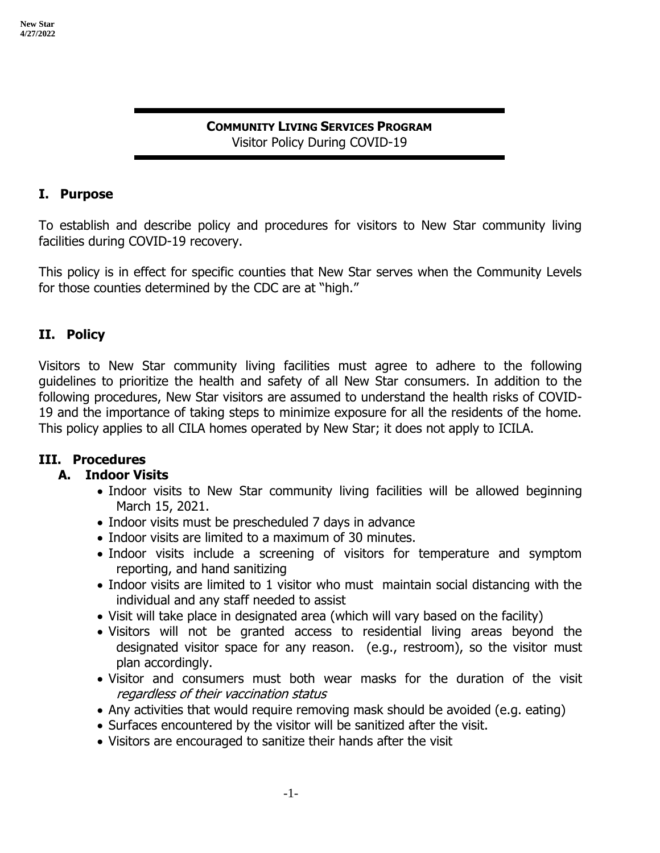#### **COMMUNITY LIVING SERVICES PROGRAM** Visitor Policy During COVID-19

#### **I. Purpose**

To establish and describe policy and procedures for visitors to New Star community living facilities during COVID-19 recovery.

This policy is in effect for specific counties that New Star serves when the Community Levels for those counties determined by the CDC are at "high."

#### **II. Policy**

Visitors to New Star community living facilities must agree to adhere to the following guidelines to prioritize the health and safety of all New Star consumers. In addition to the following procedures, New Star visitors are assumed to understand the health risks of COVID-19 and the importance of taking steps to minimize exposure for all the residents of the home. This policy applies to all CILA homes operated by New Star; it does not apply to ICILA.

### **III. Procedures**

### **A. Indoor Visits**

- Indoor visits to New Star community living facilities will be allowed beginning March 15, 2021.
- Indoor visits must be prescheduled 7 days in advance
- Indoor visits are limited to a maximum of 30 minutes.
- Indoor visits include a screening of visitors for temperature and symptom reporting, and hand sanitizing
- Indoor visits are limited to 1 visitor who must maintain social distancing with the individual and any staff needed to assist
- Visit will take place in designated area (which will vary based on the facility)
- Visitors will not be granted access to residential living areas beyond the designated visitor space for any reason. (e.g., restroom), so the visitor must plan accordingly.
- Visitor and consumers must both wear masks for the duration of the visit regardless of their vaccination status
- Any activities that would require removing mask should be avoided (e.g. eating)
- Surfaces encountered by the visitor will be sanitized after the visit.
- Visitors are encouraged to sanitize their hands after the visit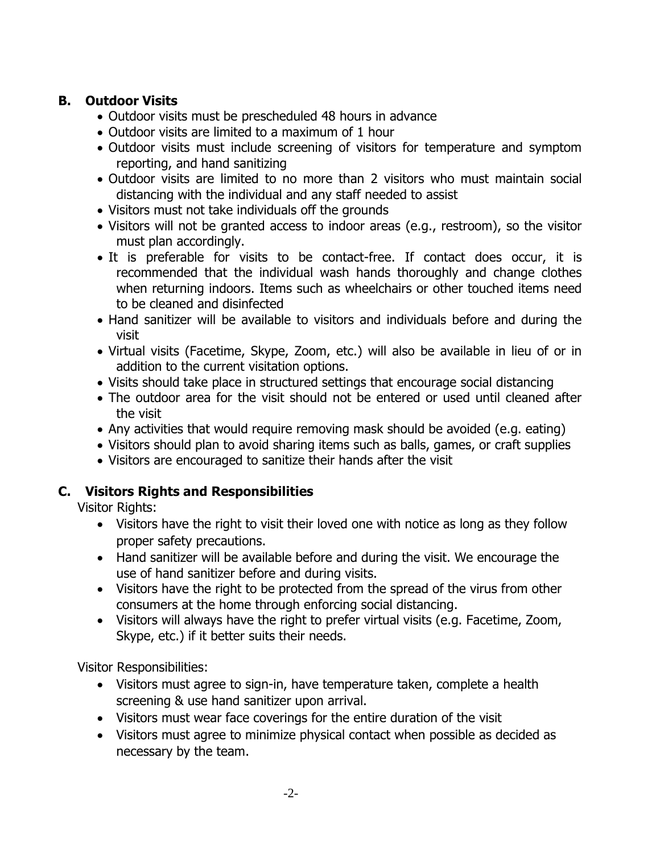# **B. Outdoor Visits**

- Outdoor visits must be prescheduled 48 hours in advance
- Outdoor visits are limited to a maximum of 1 hour
- Outdoor visits must include screening of visitors for temperature and symptom reporting, and hand sanitizing
- Outdoor visits are limited to no more than 2 visitors who must maintain social distancing with the individual and any staff needed to assist
- Visitors must not take individuals off the grounds
- Visitors will not be granted access to indoor areas (e.g., restroom), so the visitor must plan accordingly.
- It is preferable for visits to be contact-free. If contact does occur, it is recommended that the individual wash hands thoroughly and change clothes when returning indoors. Items such as wheelchairs or other touched items need to be cleaned and disinfected
- Hand sanitizer will be available to visitors and individuals before and during the visit
- Virtual visits (Facetime, Skype, Zoom, etc.) will also be available in lieu of or in addition to the current visitation options.
- Visits should take place in structured settings that encourage social distancing
- The outdoor area for the visit should not be entered or used until cleaned after the visit
- Any activities that would require removing mask should be avoided (e.g. eating)
- Visitors should plan to avoid sharing items such as balls, games, or craft supplies
- Visitors are encouraged to sanitize their hands after the visit

# **C. Visitors Rights and Responsibilities**

Visitor Rights:

- Visitors have the right to visit their loved one with notice as long as they follow proper safety precautions.
- Hand sanitizer will be available before and during the visit. We encourage the use of hand sanitizer before and during visits.
- Visitors have the right to be protected from the spread of the virus from other consumers at the home through enforcing social distancing.
- Visitors will always have the right to prefer virtual visits (e.g. Facetime, Zoom, Skype, etc.) if it better suits their needs.

Visitor Responsibilities:

- Visitors must agree to sign-in, have temperature taken, complete a health screening & use hand sanitizer upon arrival.
- Visitors must wear face coverings for the entire duration of the visit
- Visitors must agree to minimize physical contact when possible as decided as necessary by the team.